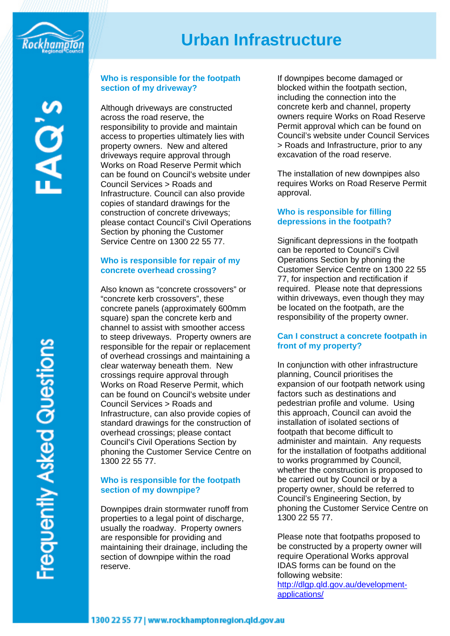

# **Urban Infrastructure**

ୁ<br>ୟ

requently Asked Questions

# **Who is responsible for the footpath section of my driveway?**

Although driveways are constructed across the road reserve, the responsibility to provide and maintain access to properties ultimately lies with property owners. New and altered driveways require approval through Works on Road Reserve Permit which can be found on Council's website under Council Services > Roads and Infrastructure. Council can also provide copies of standard drawings for the construction of concrete driveways; please contact Council's Civil Operations Section by phoning the Customer Service Centre on 1300 22 55 77.

# **Who is responsible for repair of my concrete overhead crossing?**

Also known as "concrete crossovers" or "concrete kerb crossovers", these concrete panels (approximately 600mm square) span the concrete kerb and channel to assist with smoother access to steep driveways. Property owners are responsible for the repair or replacement of overhead crossings and maintaining a clear waterway beneath them. New crossings require approval through Works on Road Reserve Permit, which can be found on Council's website under Council Services > Roads and Infrastructure, can also provide copies of standard drawings for the construction of overhead crossings; please contact Council's Civil Operations Section by phoning the Customer Service Centre on 1300 22 55 77.

# **Who is responsible for the footpath section of my downpipe?**

Downpipes drain stormwater runoff from properties to a legal point of discharge, usually the roadway. Property owners are responsible for providing and maintaining their drainage, including the section of downpipe within the road reserve.

If downpipes become damaged or blocked within the footpath section, including the connection into the concrete kerb and channel, property owners require Works on Road Reserve Permit approval which can be found on Council's website under Council Services > Roads and Infrastructure, prior to any excavation of the road reserve.

The installation of new downpipes also requires Works on Road Reserve Permit approval.

## **Who is responsible for filling depressions in the footpath?**

Significant depressions in the footpath can be reported to Council's Civil Operations Section by phoning the Customer Service Centre on 1300 22 55 77, for inspection and rectification if required. Please note that depressions within driveways, even though they may be located on the footpath, are the responsibility of the property owner.

## **Can I construct a concrete footpath in front of my property?**

In conjunction with other infrastructure planning, Council prioritises the expansion of our footpath network using factors such as destinations and pedestrian profile and volume. Using this approach, Council can avoid the installation of isolated sections of footpath that become difficult to administer and maintain. Any requests for the installation of footpaths additional to works programmed by Council, whether the construction is proposed to be carried out by Council or by a property owner, should be referred to Council's Engineering Section, by phoning the Customer Service Centre on 1300 22 55 77.

Please note that footpaths proposed to be constructed by a property owner will require Operational Works approval IDAS forms can be found on the following website: [http://dlgp.qld.gov.au/development](http://dlgp.qld.gov.au/development-applications/)[applications/](http://dlgp.qld.gov.au/development-applications/)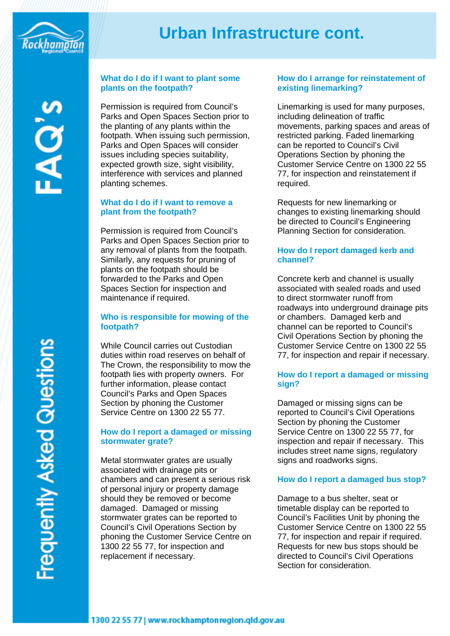

# **Urban Infrastructure cont.**

 $\widetilde{\mathbf{Q}}$ 

## **What do I do if I want to plant some plants on the footpath?**

Permission is required from Council's Parks and Open Spaces Section prior to the planting of any plants within the footpath. When issuing such permission, Parks and Open Spaces will consider issues including species suitability, expected growth size, sight visibility, interference with services and planned planting schemes.

#### **What do I do if I want to remove a plant from the footpath?**

Permission is required from Council's Parks and Open Spaces Section prior to any removal of plants from the footpath. Similarly, any requests for pruning of plants on the footpath should be forwarded to the Parks and Open Spaces Section for inspection and maintenance if required.

### **Who is responsible for mowing of the footpath?**

While Council carries out Custodian duties within road reserves on behalf of The Crown, the responsibility to mow the footpath lies with property owners. For further information, please contact Council's Parks and Open Spaces Section by phoning the Customer Service Centre on 1300 22 55 77.

### **How do I report a damaged or missing stormwater grate?**

Metal stormwater grates are usually associated with drainage pits or chambers and can present a serious risk of personal injury or property damage should they be removed or become damaged. Damaged or missing stormwater grates can be reported to Council's Civil Operations Section by phoning the Customer Service Centre on 1300 22 55 77, for inspection and replacement if necessary.

# **How do I arrange for reinstatement of existing linemarking?**

Linemarking is used for many purposes, including delineation of traffic movements, parking spaces and areas of restricted parking. Faded linemarking can be reported to Council's Civil Operations Section by phoning the Customer Service Centre on 1300 22 55 77, for inspection and reinstatement if required.

Requests for new linemarking or changes to existing linemarking should be directed to Council's Engineering Planning Section for consideration.

## **How do I report damaged kerb and channel?**

Concrete kerb and channel is usually associated with sealed roads and used to direct stormwater runoff from roadways into underground drainage pits or chambers. Damaged kerb and channel can be reported to Council's Civil Operations Section by phoning the Customer Service Centre on 1300 22 55 77, for inspection and repair if necessary.

# **How do I report a damaged or missing sign?**

Damaged or missing signs can be reported to Council's Civil Operations Section by phoning the Customer Service Centre on 1300 22 55 77, for inspection and repair if necessary. This includes street name signs, regulatory signs and roadworks signs.

## **How do I report a damaged bus stop?**

Damage to a bus shelter, seat or timetable display can be reported to Council's Facilities Unit by phoning the Customer Service Centre on 1300 22 55 77, for inspection and repair if required. Requests for new bus stops should be directed to Council's Civil Operations Section for consideration.